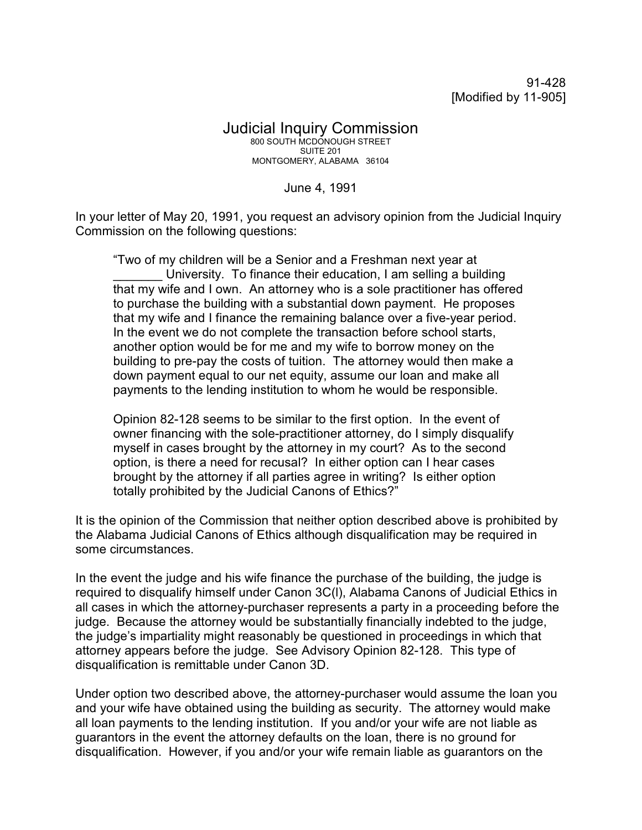91-428 [Modified by 11-905]

## Judicial Inquiry Commission 800 SOUTH MCDONOUGH STREET SUITE 201 MONTGOMERY, ALABAMA 36104

June 4, 1991

In your letter of May 20, 1991, you request an advisory opinion from the Judicial Inquiry Commission on the following questions:

"Two of my children will be a Senior and a Freshman next year at University. To finance their education, I am selling a building that my wife and I own. An attorney who is a sole practitioner has offered to purchase the building with a substantial down payment. He proposes that my wife and I finance the remaining balance over a five-year period. In the event we do not complete the transaction before school starts, another option would be for me and my wife to borrow money on the building to pre-pay the costs of tuition. The attorney would then make a down payment equal to our net equity, assume our loan and make all payments to the lending institution to whom he would be responsible.

Opinion 82-128 seems to be similar to the first option. In the event of owner financing with the sole-practitioner attorney, do I simply disqualify myself in cases brought by the attorney in my court? As to the second option, is there a need for recusal? In either option can I hear cases brought by the attorney if all parties agree in writing? Is either option totally prohibited by the Judicial Canons of Ethics?"

It is the opinion of the Commission that neither option described above is prohibited by the Alabama Judicial Canons of Ethics although disqualification may be required in some circumstances.

In the event the judge and his wife finance the purchase of the building, the judge is required to disqualify himself under Canon 3C(l), Alabama Canons of Judicial Ethics in all cases in which the attorney-purchaser represents a party in a proceeding before the judge. Because the attorney would be substantially financially indebted to the judge, the judge's impartiality might reasonably be questioned in proceedings in which that attorney appears before the judge. See Advisory Opinion 82-128. This type of disqualification is remittable under Canon 3D.

Under option two described above, the attorney-purchaser would assume the loan you and your wife have obtained using the building as security. The attorney would make all loan payments to the lending institution. If you and/or your wife are not liable as guarantors in the event the attorney defaults on the loan, there is no ground for disqualification. However, if you and/or your wife remain liable as guarantors on the